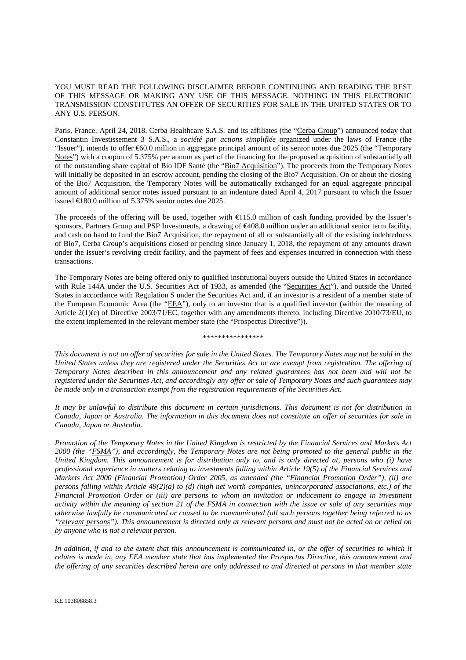## YOU MUST READ THE FOLLOWING DISCLAIMER BEFORE CONTINUING AND READING THE REST OF THIS MESSAGE OR MAKING ANY USE OF THIS MESSAGE. NOTHING IN THIS ELECTRONIC TRANSMISSION CONSTITUTES AN OFFER OF SECURITIES FOR SALE IN THE UNITED STATES OR TO ANY U.S. PERSON.

Paris, France, April 24, 2018. Cerba Healthcare S.A.S. and its affiliates (the "Cerba Group") announced today that Constantin Investissement 3 S.A.S., a *société par actions simplifiée* organized under the laws of France (the "Issuer"), intends to offer €60.0 million in aggregate principal amount of its senior notes due 2025 (the "Temporary Notes") with a coupon of 5.375% per annum as part of the financing for the proposed acquisition of substantially all of the outstanding share capital of Bio IDF Santé (the "Bio7 Acquisition"). The proceeds from the Temporary Notes will initially be deposited in an escrow account, pending the closing of the Bio7 Acquisition. On or about the closing of the Bio7 Acquisition, the Temporary Notes will be automatically exchanged for an equal aggregate principal amount of additional senior notes issued pursuant to an indenture dated April 4, 2017 pursuant to which the Issuer issued €180.0 million of 5.375% senior notes due 2025.

The proceeds of the offering will be used, together with €115.0 million of cash funding provided by the Issuer's sponsors, Partners Group and PSP Investments, a drawing of €408.0 million under an additional senior term facility, and cash on hand to fund the Bio7 Acquisition, the repayment of all or substantially all of the existing indebtedness of Bio7, Cerba Group's acquisitions closed or pending since January 1, 2018, the repayment of any amounts drawn under the Issuer's revolving credit facility, and the payment of fees and expenses incurred in connection with these transactions.

The Temporary Notes are being offered only to qualified institutional buyers outside the United States in accordance with Rule 144A under the U.S. Securities Act of 1933, as amended (the "Securities Act"), and outside the United States in accordance with Regulation S under the Securities Act and, if an investor is a resident of a member state of the European Economic Area (the "EEA"), only to an investor that is a qualified investor (within the meaning of Article 2(1)(e) of Directive 2003/71/EC, together with any amendments thereto, including Directive 2010/73/EU, to the extent implemented in the relevant member state (the "Prospectus Directive")).

\*\*\*\*\*\*\*\*\*\*\*\*\*\*\*\*

*This document is not an offer of securities for sale in the United States. The Temporary Notes may not be sold in the United States unless they are registered under the Securities Act or are exempt from registration. The offering of Temporary Notes described in this announcement and any related guarantees has not been and will not be registered under the Securities Act, and accordingly any offer or sale of Temporary Notes and such guarantees may be made only in a transaction exempt from the registration requirements of the Securities Act.* 

*It may be unlawful to distribute this document in certain jurisdictions. This document is not for distribution in Canada, Japan or Australia. The information in this document does not constitute an offer of securities for sale in Canada, Japan or Australia.* 

*Promotion of the Temporary Notes in the United Kingdom is restricted by the Financial Services and Markets Act 2000 (the "FSMA"), and accordingly, the Temporary Notes are not being promoted to the general public in the United Kingdom. This announcement is for distribution only to, and is only directed at, persons who (i) have professional experience in matters relating to investments falling within Article 19(5) of the Financial Services and Markets Act 2000 (Financial Promotion) Order 2005, as amended (the "Financial Promotion Order"), (ii) are persons falling within Article 49(2)(a) to (d) (high net worth companies, unincorporated associations, etc.) of the Financial Promotion Order or (iii) are persons to whom an invitation or inducement to engage in investment activity within the meaning of section 21 of the FSMA in connection with the issue or sale of any securities may otherwise lawfully be communicated or caused to be communicated (all such persons together being referred to as "relevant persons"). This announcement is directed only at relevant persons and must not be acted on or relied on by anyone who is not a relevant person.* 

In addition, if and to the extent that this announcement is communicated in, or the offer of securities to which it *relates is made in, any EEA member state that has implemented the Prospectus Directive, this announcement and the offering of any securities described herein are only addressed to and directed at persons in that member state*